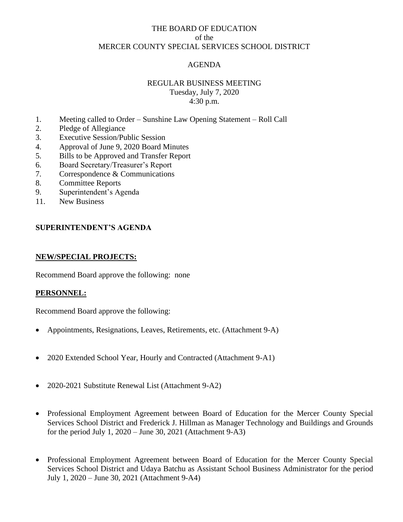## THE BOARD OF EDUCATION of the MERCER COUNTY SPECIAL SERVICES SCHOOL DISTRICT

# AGENDA

# REGULAR BUSINESS MEETING

Tuesday, July 7, 2020 4:30 p.m.

- 1. Meeting called to Order Sunshine Law Opening Statement Roll Call
- 2. Pledge of Allegiance
- 3. Executive Session/Public Session
- 4. Approval of June 9, 2020 Board Minutes
- 5. Bills to be Approved and Transfer Report
- 6. Board Secretary/Treasurer's Report
- 7. Correspondence & Communications
- 8. Committee Reports
- 9. Superintendent's Agenda
- 11. New Business

## **SUPERINTENDENT'S AGENDA**

#### **NEW/SPECIAL PROJECTS:**

Recommend Board approve the following: none

#### **PERSONNEL:**

Recommend Board approve the following:

- Appointments, Resignations, Leaves, Retirements, etc. (Attachment 9-A)
- 2020 Extended School Year, Hourly and Contracted (Attachment 9-A1)
- 2020-2021 Substitute Renewal List (Attachment 9-A2)
- Professional Employment Agreement between Board of Education for the Mercer County Special Services School District and Frederick J. Hillman as Manager Technology and Buildings and Grounds for the period July 1, 2020 – June 30, 2021 (Attachment 9-A3)
- Professional Employment Agreement between Board of Education for the Mercer County Special Services School District and Udaya Batchu as Assistant School Business Administrator for the period July 1, 2020 – June 30, 2021 (Attachment 9-A4)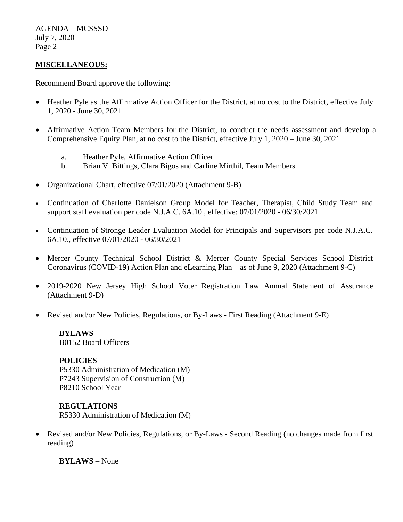AGENDA – MCSSSD July 7, 2020 Page 2

## **MISCELLANEOUS:**

Recommend Board approve the following:

- Heather Pyle as the Affirmative Action Officer for the District, at no cost to the District, effective July 1, 2020 - June 30, 2021
- Affirmative Action Team Members for the District, to conduct the needs assessment and develop a Comprehensive Equity Plan, at no cost to the District, effective July 1, 2020 – June 30, 2021
	- a. Heather Pyle, Affirmative Action Officer
	- b. Brian V. Bittings, Clara Bigos and Carline Mirthil, Team Members
- Organizational Chart, effective 07/01/2020 (Attachment 9-B)
- Continuation of Charlotte Danielson Group Model for Teacher, Therapist, Child Study Team and support staff evaluation per code N.J.A.C. 6A.10., effective: [07/01/2020 -](outlook-data-detector://13/) 06/30/2021
- Continuation of Stronge Leader Evaluation Model for Principals and Supervisors per code N.J.A.C. 6A.10., effective [07/01/2020 -](outlook-data-detector://13/) 06/30/2021
- Mercer County Technical School District & Mercer County Special Services School District Coronavirus (COVID-19) Action Plan and eLearning Plan – as of June 9, 2020 (Attachment 9-C)
- 2019-2020 New Jersey High School Voter Registration Law Annual Statement of Assurance (Attachment 9-D)
- Revised and/or New Policies, Regulations, or By-Laws First Reading (Attachment 9-E)

#### **BYLAWS** B0152 Board Officers

#### **POLICIES**

P5330 Administration of Medication (M) P7243 Supervision of Construction (M) P8210 School Year

#### **REGULATIONS**

R5330 Administration of Medication (M)

• Revised and/or New Policies, Regulations, or By-Laws - Second Reading (no changes made from first reading)

**BYLAWS** – None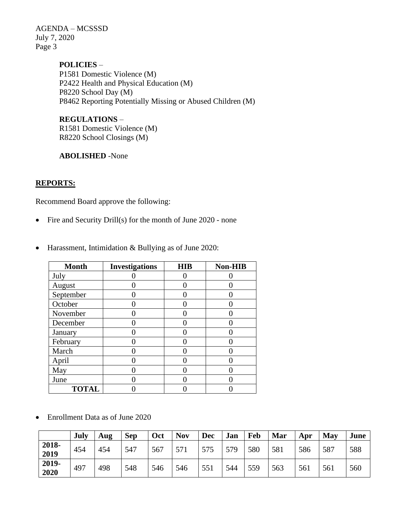AGENDA – MCSSSD July 7, 2020 Page 3

> **POLICIES** – P1581 Domestic Violence (M) P2422 Health and Physical Education (M) P8220 School Day (M) P8462 Reporting Potentially Missing or Abused Children (M)

**REGULATIONS** – R1581 Domestic Violence (M) R8220 School Closings (M)

**ABOLISHED** -None

### **REPORTS:**

Recommend Board approve the following:

• Fire and Security Drill(s) for the month of June 2020 - none

| <b>Month</b> | <b>Investigations</b> | <b>HIB</b> | Non-HIB |
|--------------|-----------------------|------------|---------|
| July         |                       |            |         |
| August       |                       |            |         |
| September    |                       |            |         |
| October      |                       |            |         |
| November     |                       |            |         |
| December     |                       |            |         |
| January      |                       |            |         |
| February     |                       |            |         |
| March        |                       |            |         |
| April        |                       |            |         |
| May          |                       |            |         |
| June         |                       |            |         |
| <b>TOTAL</b> |                       |            |         |

• Harassment, Intimidation & Bullying as of June 2020:

• Enrollment Data as of June 2020

|                 | July | Aug | <b>Sep</b> | Oct | <b>Nov</b>      | <b>Dec</b> | Jan | Feb | Mar | Apr | May | June |
|-----------------|------|-----|------------|-----|-----------------|------------|-----|-----|-----|-----|-----|------|
| $2018-$<br>2019 | 454  | 454 | 547        | 567 | 57 <sup>1</sup> | 575        | 579 | 580 | 581 | 586 | 587 | 588  |
| 2019-<br>2020   | 497  | 498 | 548        | 546 | 546             | 551        | 544 | 559 | 563 | 561 | 561 | 560  |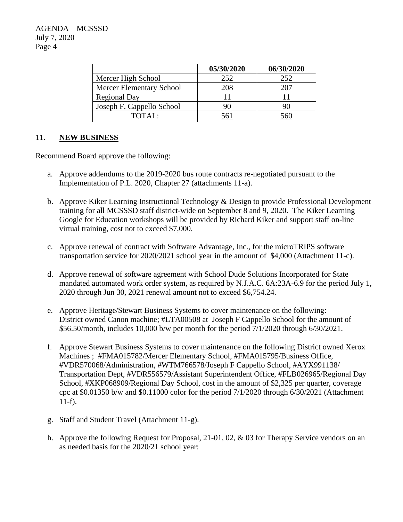|                                 | 05/30/2020 | 06/30/2020 |
|---------------------------------|------------|------------|
| Mercer High School              | 252        | 252        |
| <b>Mercer Elementary School</b> | 208        |            |
| <b>Regional Day</b>             |            |            |
| Joseph F. Cappello School       |            |            |
| TOTAL:                          |            |            |

## 11. **NEW BUSINESS**

Recommend Board approve the following:

- a. Approve addendums to the 2019-2020 bus route contracts re-negotiated pursuant to the Implementation of P.L. 2020, Chapter 27 (attachments 11-a).
- b. Approve Kiker Learning Instructional Technology & Design to provide Professional Development training for all MCSSSD staff district-wide on September 8 and 9, 2020. The Kiker Learning Google for Education workshops will be provided by Richard Kiker and support staff on-line virtual training, cost not to exceed \$7,000.
- c. Approve renewal of contract with Software Advantage, Inc., for the microTRIPS software transportation service for 2020/2021 school year in the amount of \$4,000 (Attachment 11-c).
- d. Approve renewal of software agreement with School Dude Solutions Incorporated for State mandated automated work order system, as required by N.J.A.C. 6A:23A-6.9 for the period July 1, 2020 through Jun 30, 2021 renewal amount not to exceed \$6,754.24.
- e. Approve Heritage/Stewart Business Systems to cover maintenance on the following: District owned Canon machine; #LTA00508 at Joseph F Cappello School for the amount of \$56.50/month, includes 10,000 b/w per month for the period 7/1/2020 through 6/30/2021.
- f. Approve Stewart Business Systems to cover maintenance on the following District owned Xerox Machines ; #FMA015782/Mercer Elementary School, #FMA015795/Business Office, #VDR570068/Administration, #WTM766578/Joseph F Cappello School, #AYX991138/ Transportation Dept, #VDR556579/Assistant Superintendent Office, #FLB026965/Regional Day School, #XKP068909/Regional Day School, cost in the amount of \$2,325 per quarter, coverage cpc at \$0.01350 b/w and \$0.11000 color for the period 7/1/2020 through 6/30/2021 (Attachment 11-f).
- g. Staff and Student Travel (Attachment 11-g).
- h. Approve the following Request for Proposal, 21-01, 02, & 03 for Therapy Service vendors on an as needed basis for the 2020/21 school year: